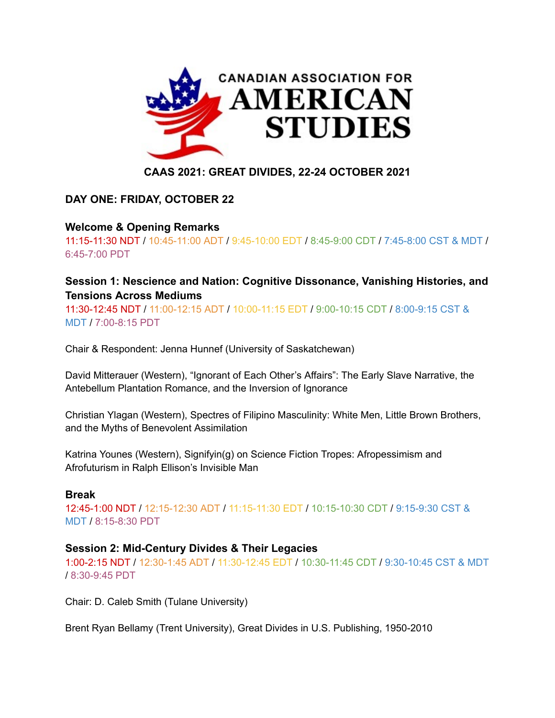

# **CAAS 2021: GREAT DIVIDES, 22-24 OCTOBER 2021**

# **DAY ONE: FRIDAY, OCTOBER 22**

# **Welcome & Opening Remarks**

11:15-11:30 NDT / 10:45-11:00 ADT / 9:45-10:00 EDT / 8:45-9:00 CDT / 7:45-8:00 CST & MDT / 6:45-7:00 PDT

# **Session 1: Nescience and Nation: Cognitive Dissonance, Vanishing Histories, and Tensions Across Mediums**

11:30-12:45 NDT / 11:00-12:15 ADT / 10:00-11:15 EDT / 9:00-10:15 CDT / 8:00-9:15 CST & MDT / 7:00-8:15 PDT

Chair & Respondent: Jenna Hunnef (University of Saskatchewan)

David Mitterauer (Western), "Ignorant of Each Other's Affairs": The Early Slave Narrative, the Antebellum Plantation Romance, and the Inversion of Ignorance

Christian Ylagan (Western), Spectres of Filipino Masculinity: White Men, Little Brown Brothers, and the Myths of Benevolent Assimilation

Katrina Younes (Western), Signifyin(g) on Science Fiction Tropes: Afropessimism and Afrofuturism in Ralph Ellison's Invisible Man

## **Break**

12:45-1:00 NDT / 12:15-12:30 ADT / 11:15-11:30 EDT / 10:15-10:30 CDT / 9:15-9:30 CST & MDT / 8:15-8:30 PDT

## **Session 2: Mid-Century Divides & Their Legacies**

1:00-2:15 NDT / 12:30-1:45 ADT / 11:30-12:45 EDT / 10:30-11:45 CDT / 9:30-10:45 CST & MDT / 8:30-9:45 PDT

Chair: D. Caleb Smith (Tulane University)

Brent Ryan Bellamy (Trent University), Great Divides in U.S. Publishing, 1950-2010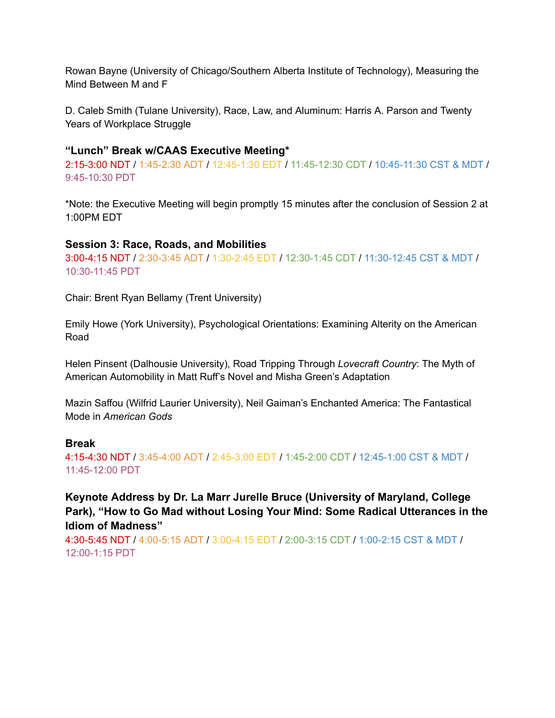Rowan Bayne (University of Chicago/Southern Alberta Institute of Technology), Measuring the Mind Between M and F

D. Caleb Smith (Tulane University), Race, Law, and Aluminum: Harris A. Parson and Twenty Years of Workplace Struggle

### **"Lunch" Break w/CAAS Executive Meeting\***

2:15-3:00 NDT / 1:45-2:30 ADT / 12:45-1:30 EDT / 11:45-12:30 CDT / 10:45-11:30 CST & MDT / 9:45-10:30 PDT

\*Note: the Executive Meeting will begin promptly 15 minutes after the conclusion of Session 2 at 1:00PM EDT

### **Session 3: Race, Roads, and Mobilities**

3:00-4:15 NDT / 2:30-3:45 ADT / 1:30-2:45 EDT / 12:30-1:45 CDT / 11:30-12:45 CST & MDT / 10:30-11:45 PDT

Chair: Brent Ryan Bellamy (Trent University)

Emily Howe (York University), Psychological Orientations: Examining Alterity on the American Road

Helen Pinsent (Dalhousie University), Road Tripping Through *Lovecraft Country*: The Myth of American Automobility in Matt Ruff's Novel and Misha Green's Adaptation

Mazin Saffou (Wilfrid Laurier University), Neil Gaiman's Enchanted America: The Fantastical Mode in *American Gods*

## **Break**

4:15-4:30 NDT / 3:45-4:00 ADT / 2:45-3:00 EDT / 1:45-2:00 CDT / 12:45-1:00 CST & MDT / 11:45-12:00 PDT

**Keynote Address by Dr. La Marr Jurelle Bruce (University of Maryland, College Park), "How to Go Mad without Losing Your Mind: Some Radical Utterances in the Idiom of Madness"**

4:30-5:45 NDT / 4:00-5:15 ADT / 3:00-4:15 EDT / 2:00-3:15 CDT / 1:00-2:15 CST & MDT / 12:00-1:15 PDT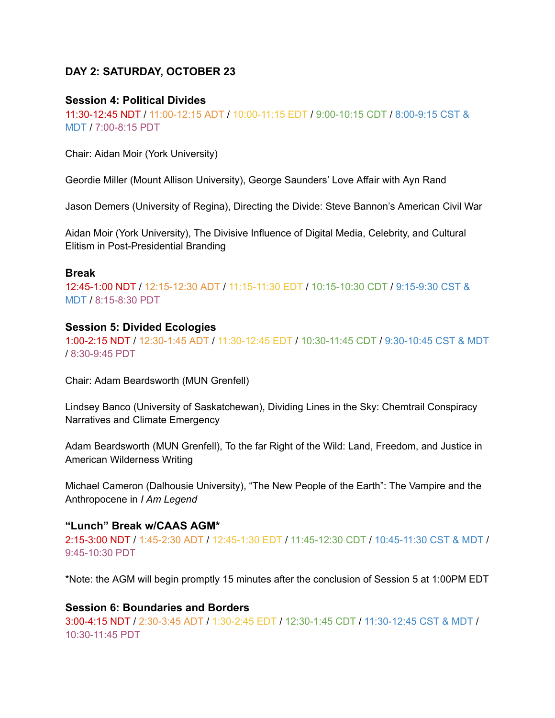## **DAY 2: SATURDAY, OCTOBER 23**

### **Session 4: Political Divides**

11:30-12:45 NDT / 11:00-12:15 ADT / 10:00-11:15 EDT / 9:00-10:15 CDT / 8:00-9:15 CST & MDT / 7:00-8:15 PDT

Chair: Aidan Moir (York University)

Geordie Miller (Mount Allison University), George Saunders' Love Affair with Ayn Rand

Jason Demers (University of Regina), Directing the Divide: Steve Bannon's American Civil War

Aidan Moir (York University), The Divisive Influence of Digital Media, Celebrity, and Cultural Elitism in Post-Presidential Branding

#### **Break**

12:45-1:00 NDT / 12:15-12:30 ADT / 11:15-11:30 EDT / 10:15-10:30 CDT / 9:15-9:30 CST & MDT / 8:15-8:30 PDT

#### **Session 5: Divided Ecologies**

1:00-2:15 NDT / 12:30-1:45 ADT / 11:30-12:45 EDT / 10:30-11:45 CDT / 9:30-10:45 CST & MDT / 8:30-9:45 PDT

Chair: Adam Beardsworth (MUN Grenfell)

Lindsey Banco (University of Saskatchewan), Dividing Lines in the Sky: Chemtrail Conspiracy Narratives and Climate Emergency

Adam Beardsworth (MUN Grenfell), To the far Right of the Wild: Land, Freedom, and Justice in American Wilderness Writing

Michael Cameron (Dalhousie University), "The New People of the Earth": The Vampire and the Anthropocene in *I Am Legend*

### **"Lunch" Break w/CAAS AGM\***

2:15-3:00 NDT / 1:45-2:30 ADT / 12:45-1:30 EDT / 11:45-12:30 CDT / 10:45-11:30 CST & MDT / 9:45-10:30 PDT

\*Note: the AGM will begin promptly 15 minutes after the conclusion of Session 5 at 1:00PM EDT

#### **Session 6: Boundaries and Borders**

3:00-4:15 NDT / 2:30-3:45 ADT / 1:30-2:45 EDT / 12:30-1:45 CDT / 11:30-12:45 CST & MDT / 10:30-11:45 PDT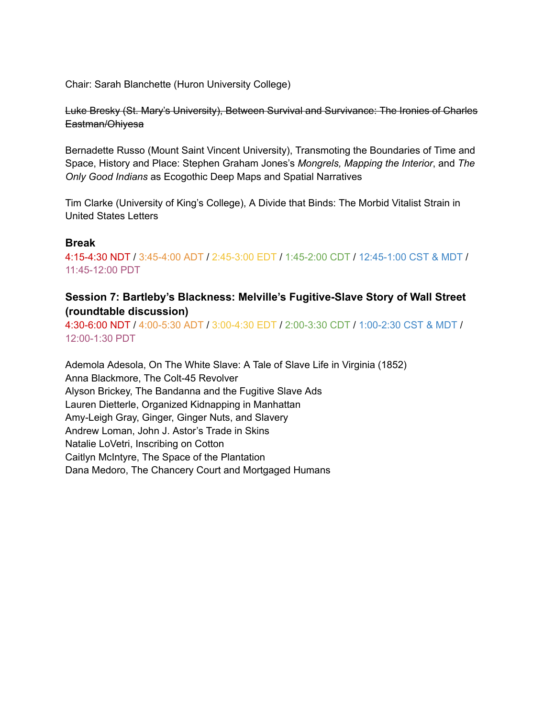Chair: Sarah Blanchette (Huron University College)

Luke Bresky (St. Mary's University), Between Survival and Survivance: The Ironies of Charles Eastman/Ohiyesa

Bernadette Russo (Mount Saint Vincent University), Transmoting the Boundaries of Time and Space, History and Place: Stephen Graham Jones's *Mongrels, Mapping the Interior*, and *The Only Good Indians* as Ecogothic Deep Maps and Spatial Narratives

Tim Clarke (University of King's College), A Divide that Binds: The Morbid Vitalist Strain in United States Letters

### **Break**

4:15-4:30 NDT / 3:45-4:00 ADT / 2:45-3:00 EDT / 1:45-2:00 CDT / 12:45-1:00 CST & MDT / 11:45-12:00 PDT

## **Session 7: Bartleby's Blackness: Melville's Fugitive-Slave Story of Wall Street (roundtable discussion)**

4:30-6:00 NDT / 4:00-5:30 ADT / 3:00-4:30 EDT / 2:00-3:30 CDT / 1:00-2:30 CST & MDT / 12:00-1:30 PDT

Ademola Adesola, On The White Slave: A Tale of Slave Life in Virginia (1852) Anna Blackmore, The Colt-45 Revolver Alyson Brickey, The Bandanna and the Fugitive Slave Ads Lauren Dietterle, Organized Kidnapping in Manhattan Amy-Leigh Gray, Ginger, Ginger Nuts, and Slavery Andrew Loman, John J. Astor's Trade in Skins Natalie LoVetri, Inscribing on Cotton Caitlyn McIntyre, The Space of the Plantation Dana Medoro, The Chancery Court and Mortgaged Humans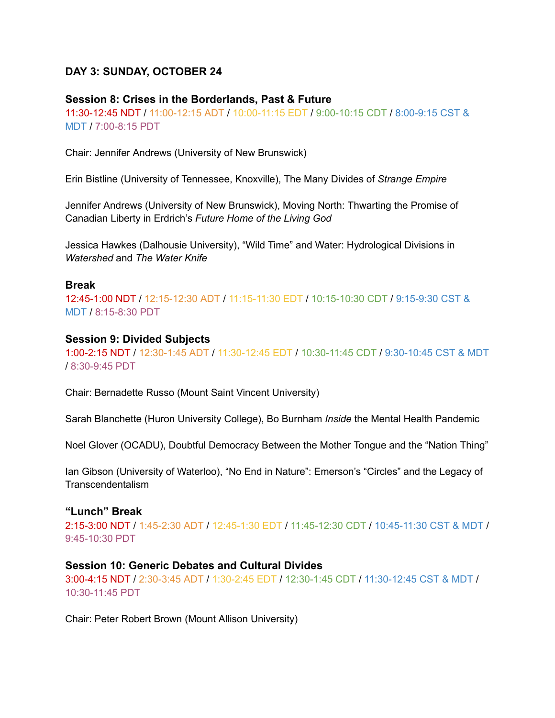## **DAY 3: SUNDAY, OCTOBER 24**

#### **Session 8: Crises in the Borderlands, Past & Future**

11:30-12:45 NDT / 11:00-12:15 ADT / 10:00-11:15 EDT / 9:00-10:15 CDT / 8:00-9:15 CST & MDT / 7:00-8:15 PDT

Chair: Jennifer Andrews (University of New Brunswick)

Erin Bistline (University of Tennessee, Knoxville), The Many Divides of *Strange Empire*

Jennifer Andrews (University of New Brunswick), Moving North: Thwarting the Promise of Canadian Liberty in Erdrich's *Future Home of the Living God*

Jessica Hawkes (Dalhousie University), "Wild Time" and Water: Hydrological Divisions in *Watershed* and *The Water Knife*

#### **Break**

12:45-1:00 NDT / 12:15-12:30 ADT / 11:15-11:30 EDT / 10:15-10:30 CDT / 9:15-9:30 CST & MDT / 8:15-8:30 PDT

#### **Session 9: Divided Subjects**

1:00-2:15 NDT / 12:30-1:45 ADT / 11:30-12:45 EDT / 10:30-11:45 CDT / 9:30-10:45 CST & MDT / 8:30-9:45 PDT

Chair: Bernadette Russo (Mount Saint Vincent University)

Sarah Blanchette (Huron University College), Bo Burnham *Inside* the Mental Health Pandemic

Noel Glover (OCADU), Doubtful Democracy Between the Mother Tongue and the "Nation Thing"

Ian Gibson (University of Waterloo), "No End in Nature": Emerson's "Circles" and the Legacy of Transcendentalism

#### **"Lunch" Break**

2:15-3:00 NDT / 1:45-2:30 ADT / 12:45-1:30 EDT / 11:45-12:30 CDT / 10:45-11:30 CST & MDT / 9:45-10:30 PDT

#### **Session 10: Generic Debates and Cultural Divides**

3:00-4:15 NDT / 2:30-3:45 ADT / 1:30-2:45 EDT / 12:30-1:45 CDT / 11:30-12:45 CST & MDT / 10:30-11:45 PDT

Chair: Peter Robert Brown (Mount Allison University)